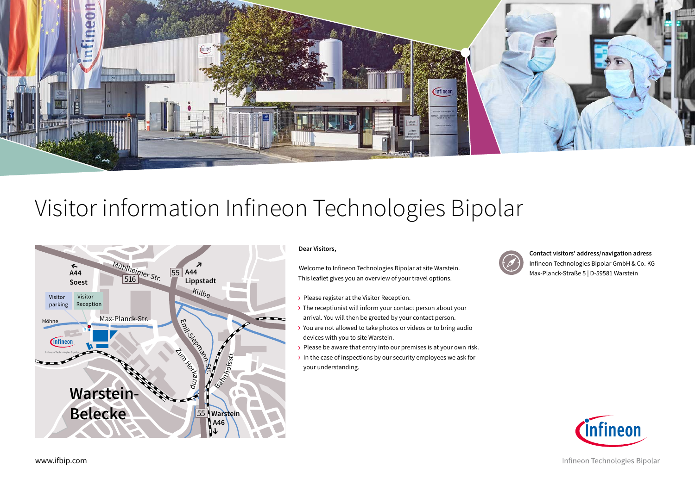

## $\mathbf{I}$ **A44** Visitor information Infineon Technologies Bipolar



### **Dear Visitors,**

Welcome to Infineon Technologies Bipolar at site Warstein. This leaflet gives you an overview of your travel options.

- › Please register at the Visitor Reception.
- > The receptionist will inform your contact person about your arrival. You will then be greeted by your contact person.
- › You are not allowed to take photos or videos or to bring audio devices with you to site Warstein.
- > Please be aware that entry into our premises is at your own risk.
- › In the case of inspections by our security employees we ask for your understanding.



**Contact visitors' address/navigation adress** Infineon Technologies Bipolar GmbH & Co. KG Max-Planck-Straße 5 | D-59581 Warstein



Infineon Technologies Bipolar